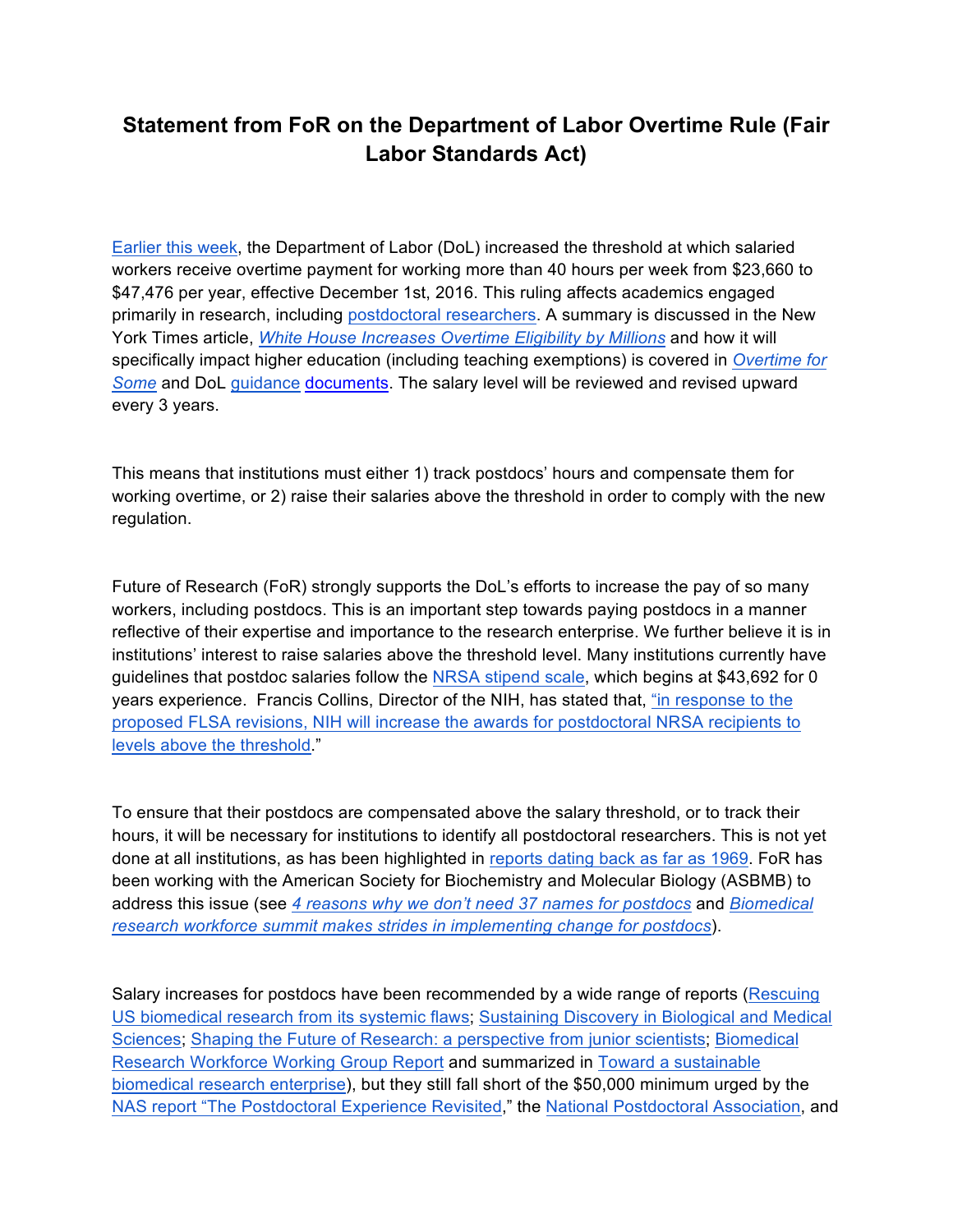## **Statement from FoR on the Department of Labor Overtime Rule (Fair Labor Standards Act)**

Earlier this week, the Department of Labor (DoL) increased the threshold at which salaried workers receive overtime payment for working more than 40 hours per week from \$23,660 to \$47,476 per year, effective December 1st, 2016. This ruling affects academics engaged primarily in research, including postdoctoral researchers. A summary is discussed in the New York Times article, *White House Increases Overtime Eligibility by Millions* and how it will specifically impact higher education (including teaching exemptions) is covered in *Overtime for Some* and DoL guidance documents. The salary level will be reviewed and revised upward every 3 years.

This means that institutions must either 1) track postdocs' hours and compensate them for working overtime, or 2) raise their salaries above the threshold in order to comply with the new regulation.

Future of Research (FoR) strongly supports the DoL's efforts to increase the pay of so many workers, including postdocs. This is an important step towards paying postdocs in a manner reflective of their expertise and importance to the research enterprise. We further believe it is in institutions' interest to raise salaries above the threshold level. Many institutions currently have guidelines that postdoc salaries follow the NRSA stipend scale, which begins at \$43,692 for 0 years experience. Francis Collins, Director of the NIH, has stated that, "in response to the proposed FLSA revisions, NIH will increase the awards for postdoctoral NRSA recipients to levels above the threshold."

To ensure that their postdocs are compensated above the salary threshold, or to track their hours, it will be necessary for institutions to identify all postdoctoral researchers. This is not yet done at all institutions, as has been highlighted in reports dating back as far as 1969. FoR has been working with the American Society for Biochemistry and Molecular Biology (ASBMB) to address this issue (see *4 reasons why we don't need 37 names for postdocs* and *Biomedical research workforce summit makes strides in implementing change for postdocs*).

Salary increases for postdocs have been recommended by a wide range of reports (Rescuing US biomedical research from its systemic flaws; Sustaining Discovery in Biological and Medical Sciences; Shaping the Future of Research: a perspective from junior scientists; Biomedical Research Workforce Working Group Report and summarized in Toward a sustainable biomedical research enterprise), but they still fall short of the \$50,000 minimum urged by the NAS report "The Postdoctoral Experience Revisited," the National Postdoctoral Association, and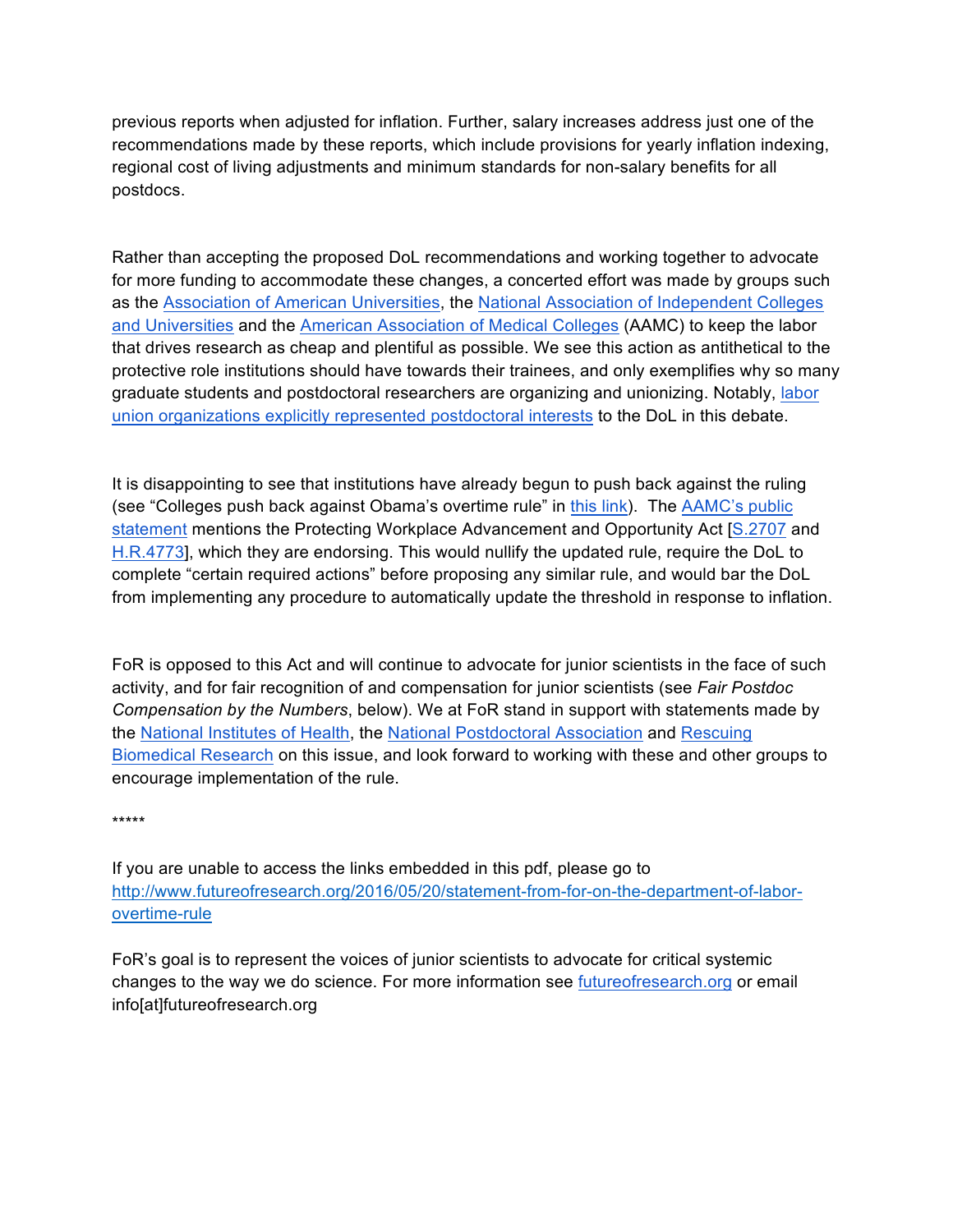previous reports when adjusted for inflation. Further, salary increases address just one of the recommendations made by these reports, which include provisions for yearly inflation indexing, regional cost of living adjustments and minimum standards for non-salary benefits for all postdocs.

Rather than accepting the proposed DoL recommendations and working together to advocate for more funding to accommodate these changes, a concerted effort was made by groups such as the Association of American Universities, the National Association of Independent Colleges and Universities and the American Association of Medical Colleges (AAMC) to keep the labor that drives research as cheap and plentiful as possible. We see this action as antithetical to the protective role institutions should have towards their trainees, and only exemplifies why so many graduate students and postdoctoral researchers are organizing and unionizing. Notably, labor union organizations explicitly represented postdoctoral interests to the DoL in this debate.

It is disappointing to see that institutions have already begun to push back against the ruling (see "Colleges push back against Obama's overtime rule" in this link). The AAMC's public statement mentions the Protecting Workplace Advancement and Opportunity Act [S.2707 and H.R.4773], which they are endorsing. This would nullify the updated rule, require the DoL to complete "certain required actions" before proposing any similar rule, and would bar the DoL from implementing any procedure to automatically update the threshold in response to inflation.

FoR is opposed to this Act and will continue to advocate for junior scientists in the face of such activity, and for fair recognition of and compensation for junior scientists (see *Fair Postdoc Compensation by the Numbers*, below). We at FoR stand in support with statements made by the National Institutes of Health, the National Postdoctoral Association and Rescuing Biomedical Research on this issue, and look forward to working with these and other groups to encourage implementation of the rule.

\*\*\*\*\*

If you are unable to access the links embedded in this pdf, please go to http://www.futureofresearch.org/2016/05/20/statement-from-for-on-the-department-of-laborovertime-rule

FoR's goal is to represent the voices of junior scientists to advocate for critical systemic changes to the way we do science. For more information see futureofresearch.org or email info[at]futureofresearch.org